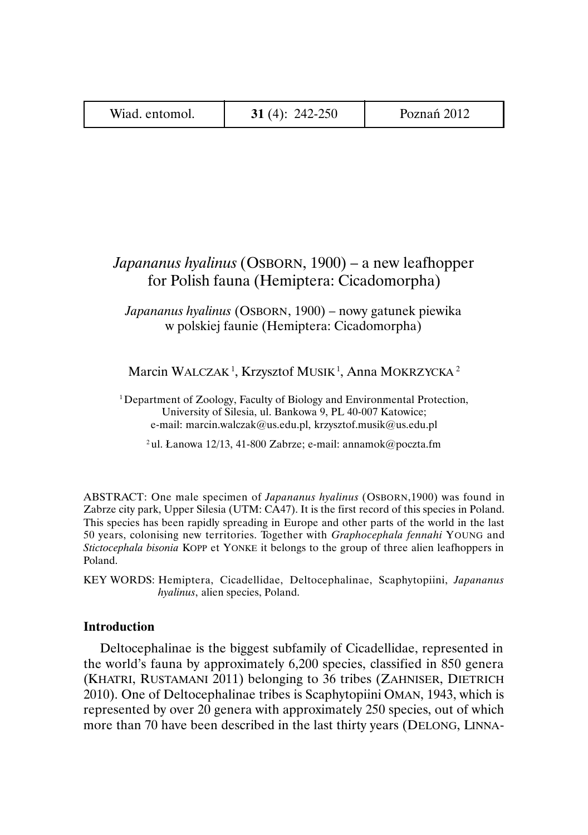| Wiad. entomol. | 31 $(4)$ : 242-250 | Poznań 2012 |
|----------------|--------------------|-------------|
|----------------|--------------------|-------------|

# *Japananus hyalinus* (OSBORN, 1900) – a new leafhopper for Polish fauna (Hemiptera: Cicadomorpha)

*Japananus hyalinus* (OSBORN, 1900) – nowy gatunek piewika w polskiej faunie (Hemiptera: Cicadomorpha)

Marcin WALCZAK<sup>1</sup>, Krzysztof MUSIK<sup>1</sup>, Anna MOKRZYCKA<sup>2</sup>

<sup>1</sup> Department of Zoology, Faculty of Biology and Environmental Protection, University of Silesia, ul. Bankowa 9, PL 40-007 Katowice; e-mail: marcin.walczak@us.edu.pl, krzysztof.musik@us.edu.pl

<sup>2</sup> ul. Łanowa 12/13, 41-800 Zabrze; e-mail: annamok@poczta.fm

ABSTRACT: One male specimen of *Japananus hyalinus* (OSBORN,1900) was found in Zabrze city park, Upper Silesia (UTM: CA47). It is the first record of this species in Poland. This species has been rapidly spreading in Europe and other parts of the world in the last 50 years, colonising new territories. Together with *Graphocephala fennahi* YOUNG and *Stictocephala bisonia* KOPP et YONKE it belongs to the group of three alien leafhoppers in Poland.

KEY WORDS: Hemiptera, Cicadellidae, Deltocephalinae, Scaphytopiini, *Japananus hyalinus*, alien species, Poland.

# **Introduction**

Deltocephalinae is the biggest subfamily of Cicadellidae, represented in the world's fauna by approximately 6,200 species, classified in 850 genera (KHATRI, RUSTAMANI 2011) belonging to 36 tribes (ZAHNISER, DIETRICH 2010). One of Deltocephalinae tribes is Scaphytopiini OMAN, 1943, which is represented by over 20 genera with approximately 250 species, out of which more than 70 have been described in the last thirty years (DELONG, LINNA-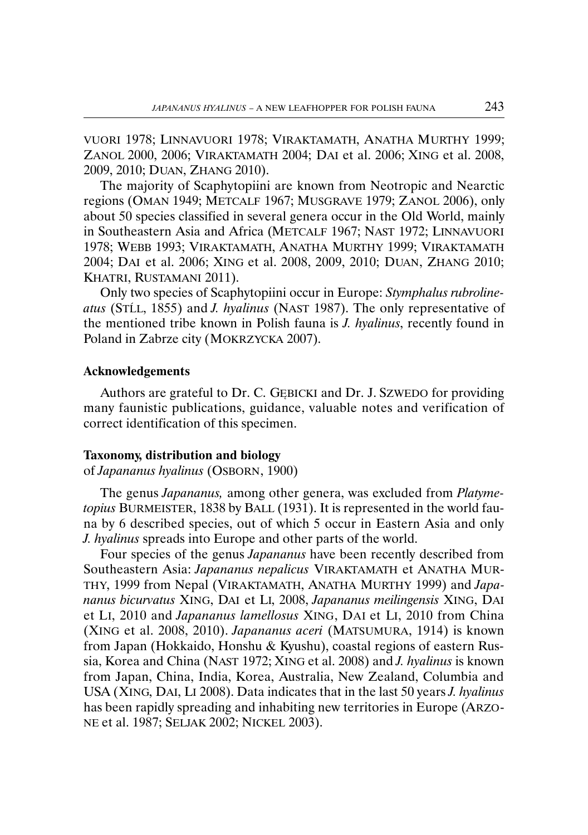VUORI 1978; LINNAVUORI 1978; VIRAKTAMATH, ANATHA MURTHY 1999; ZANOL 2000, 2006; VIRAKTAMATH 2004; DAI et al. 2006; XING et al. 2008, 2009, 2010; DUAN, ZHANG 2010).

The majority of Scaphytopiini are known from Neotropic and Nearctic regions (OMAN 1949; METCALF 1967; MUSGRAVE 1979; ZANOL 2006), only about 50 species classified in several genera occur in the Old World, mainly in Southeastern Asia and Africa (METCALF 1967; NAST 1972; LINNAVUORI 1978; WEBB 1993; VIRAKTAMATH, ANATHA MURTHY 1999; VIRAKTAMATH 2004; DAI et al. 2006; XING et al. 2008, 2009, 2010; DUAN, ZHANG 2010; KHATRI, RUSTAMANI 2011).

Only two species of Scaphytopiini occur in Europe: *Stymphalus rubrolineatus* (STĹL, 1855) and *J. hyalinus* (NAST 1987). The only representative of the mentioned tribe known in Polish fauna is *J. hyalinus*, recently found in Poland in Zabrze city (MOKRZYCKA 2007).

#### **Acknowledgements**

Authors are grateful to Dr. C. GĘBICKI and Dr. J. SZWEDO for providing many faunistic publications, guidance, valuable notes and verification of correct identification of this specimen.

#### **Taxonomy, distribution and biology**

of *Japananus hyalinus* (OSBORN, 1900)

The genus *Japananus,* among other genera, was excluded from *Platymetopius* BURMEISTER, 1838 by BALL (1931). It is represented in the world fauna by 6 described species, out of which 5 occur in Eastern Asia and only *J. hyalinus* spreads into Europe and other parts of the world.

Four species of the genus *Japananus* have been recently described from Southeastern Asia: *Japananus nepalicus* VIRAKTAMATH et ANATHA MUR-THY, 1999 from Nepal (VIRAKTAMATH, ANATHA MURTHY 1999) and *Japananus bicurvatus* XING, DAI et LI, 2008, *Japananus meilingensis* XING, DAI et LI, 2010 and *Japananus lamellosus* XING, DAI et LI, 2010 from China (XING et al. 2008, 2010). *Japananus aceri* (MATSUMURA, 1914) is known from Japan (Hokkaido, Honshu & Kyushu), coastal regions of eastern Russia, Korea and China (NAST 1972; XING et al. 2008) and *J. hyalinus* is known from Japan, China, India, Korea, Australia, New Zealand, Columbia and USA (XING, DAI, LI 2008). Data indicates that in the last 50 years *J. hyalinus* has been rapidly spreading and inhabiting new territories in Europe (ARZO-NE et al. 1987; SELJAK 2002; NICKEL 2003).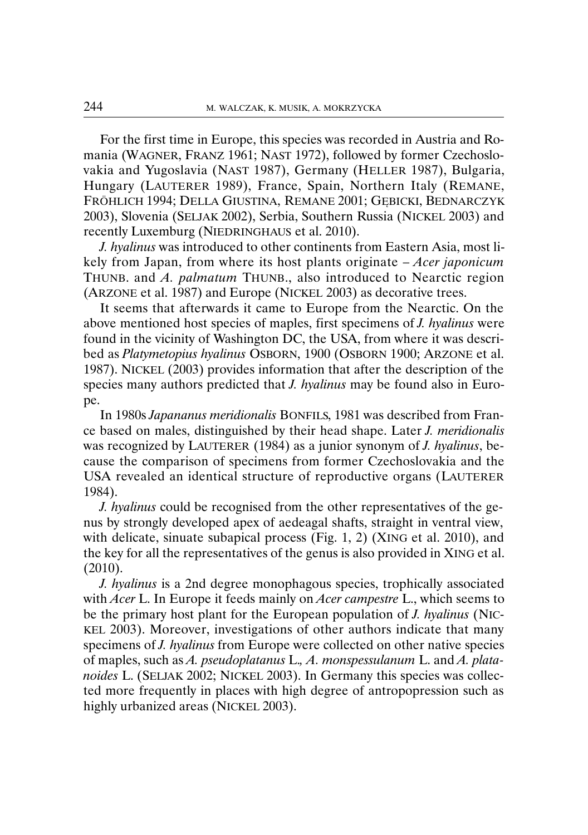For the first time in Europe, this species was recorded in Austria and Romania (WAGNER, FRANZ 1961; NAST 1972), followed by former Czechoslovakia and Yugoslavia (NAST 1987), Germany (HELLER 1987), Bulgaria, Hungary (LAUTERER 1989), France, Spain, Northern Italy (REMANE, FRÖHLICH 1994; DELLA GIUSTINA, REMANE 2001; GĘBICKI, BEDNARCZYK 2003), Slovenia (SELJAK 2002), Serbia, Southern Russia (NICKEL 2003) and recently Luxemburg (NIEDRINGHAUS et al. 2010).

*J. hyalinus* was introduced to other continents from Eastern Asia, most likely from Japan, from where its host plants originate – *Acer japonicum* THUNB. and *A. palmatum* THUNB., also introduced to Nearctic region (ARZONE et al. 1987) and Europe (NICKEL 2003) as decorative trees.

It seems that afterwards it came to Europe from the Nearctic. On the above mentioned host species of maples, first specimens of *J. hyalinus* were found in the vicinity of Washington DC, the USA, from where it was described as *Platymetopius hyalinus* OSBORN, 1900 (OSBORN 1900; ARZONE et al. 1987). NICKEL (2003) provides information that after the description of the species many authors predicted that *J. hyalinus* may be found also in Europe.

In 1980s *Japananus meridionalis* BONFILS, 1981 was described from France based on males, distinguished by their head shape. Later *J. meridionalis* was recognized by LAUTERER (1984) as a junior synonym of *J. hyalinus*, because the comparison of specimens from former Czechoslovakia and the USA revealed an identical structure of reproductive organs (LAUTERER 1984).

*J. hyalinus* could be recognised from the other representatives of the genus by strongly developed apex of aedeagal shafts, straight in ventral view, with delicate, sinuate subapical process (Fig. 1, 2) (XING et al. 2010), and the key for all the representatives of the genus is also provided in XING et al. (2010).

*J. hyalinus* is a 2nd degree monophagous species, trophically associated with *Acer* L. In Europe it feeds mainly on *Acer campestre* L., which seems to be the primary host plant for the European population of *J. hyalinus* (NIC-KEL 2003). Moreover, investigations of other authors indicate that many specimens of *J. hyalinus* from Europe were collected on other native species of maples, such as *A. pseudoplatanus* L.*, A. monspessulanum* L. and *A. platanoides* L. (SELJAK 2002; NICKEL 2003). In Germany this species was collected more frequently in places with high degree of antropopression such as highly urbanized areas (NICKEL 2003).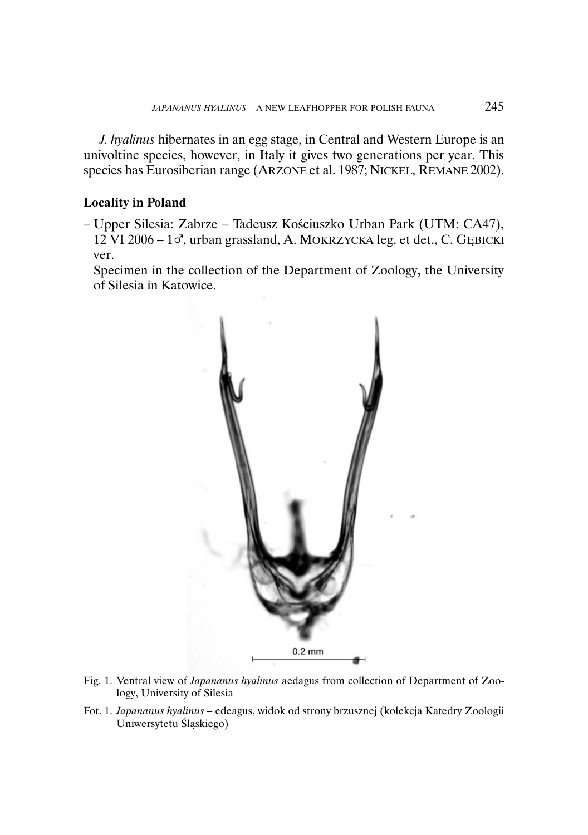*J. hyalinus* hibernates in an egg stage, in Central and Western Europe is an univoltine species, however, in Italy it gives two generations per year. This species has Eurosiberian range (ARZONE et al. 1987; NICKEL, REMANE 2002).

## **Locality in Poland**

– Upper Silesia: Zabrze – Tadeusz Kościuszko Urban Park (UTM: CA47),  $12$  VI 2006 –  $1\sigma$ , urban grassland, A. MOKRZYCKA leg. et det., C. GEBICKI ver.

Specimen in the collection of the Department of Zoology, the University of Silesia in Katowice.



- Fig. 1. Ventral view of *Japananus hyalinus* aedagus from collection of Department of Zoology, University of Silesia
- Fot. 1. *Japananus hyalinus* edeagus, widok od strony brzusznej (kolekcja Katedry Zoologii Uniwersytetu Śląskiego)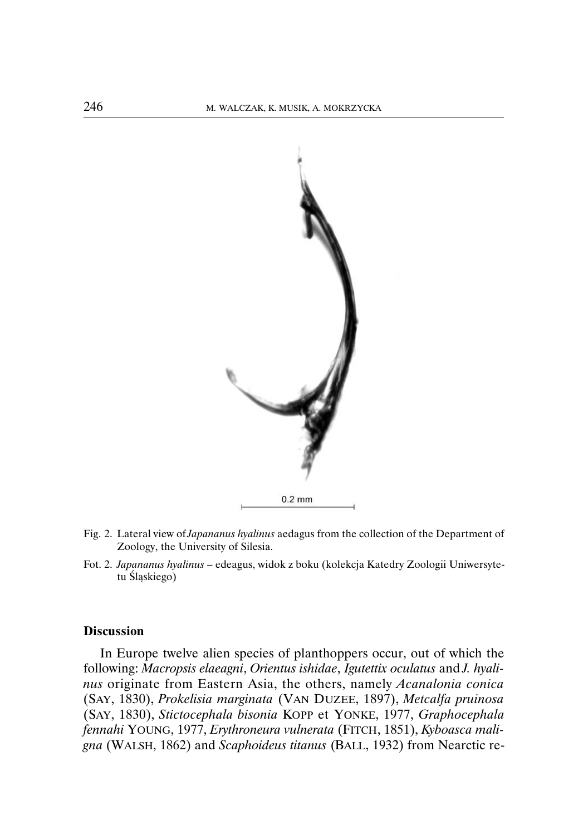

- Fig. 2. Lateral view of *Japananus hyalinus* aedagus from the collection of the Department of Zoology, the University of Silesia.
- Fot. 2. *Japananus hyalinus*  edeagus, widok z boku (kolekcja Katedry Zoologii Uniwersytetu Śląskiego)

### **Discussion**

In Europe twelve alien species of planthoppers occur, out of which the following: *Macropsis elaeagni*, *Orientus ishidae*, *Igutettix oculatus* and *J. hyalinus* originate from Eastern Asia, the others, namely *Acanalonia conica* (SAY, 1830), *Prokelisia marginata* (VAN DUZEE, 1897), *Metcalfa pruinosa* (SAY, 1830), *Stictocephala bisonia* KOPP et YONKE, 1977, *Graphocephala fennahi* YOUNG, 1977, *Erythroneura vulnerata* (FITCH, 1851), *Kyboasca maligna* (WALSH, 1862) and *Scaphoideus titanus* (BALL, 1932) from Nearctic re-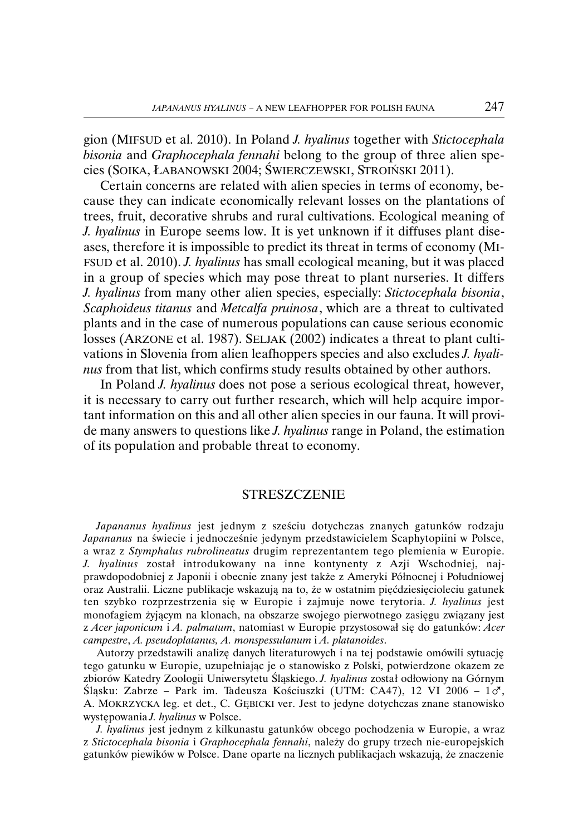gion (MIFSUD et al. 2010). In Poland *J. hyalinus* together with *Stictocephala bisonia* and *Graphocephala fennahi* belong to the group of three alien species (SOIKA, ŁABANOWSKI 2004; ŚWIERCZEWSKI, STROIŃSKI 2011).

Certain concerns are related with alien species in terms of economy, because they can indicate economically relevant losses on the plantations of trees, fruit, decorative shrubs and rural cultivations. Ecological meaning of *J. hyalinus* in Europe seems low. It is yet unknown if it diffuses plant diseases, therefore it is impossible to predict its threat in terms of economy (MI-FSUD et al. 2010). *J. hyalinus* has small ecological meaning, but it was placed in a group of species which may pose threat to plant nurseries. It differs *J. hyalinus* from many other alien species, especially: *Stictocephala bisonia*, *Scaphoideus titanus* and *Metcalfa pruinosa*, which are a threat to cultivated plants and in the case of numerous populations can cause serious economic losses (ARZONE et al. 1987). SELJAK (2002) indicates a threat to plant cultivations in Slovenia from alien leafhoppers species and also excludes *J. hyalinus* from that list, which confirms study results obtained by other authors.

In Poland *J. hyalinus* does not pose a serious ecological threat, however, it is necessary to carry out further research, which will help acquire important information on this and all other alien species in our fauna. It will provide many answers to questions like *J. hyalinus* range in Poland, the estimation of its population and probable threat to economy.

#### **STRESZCZENIE**

*Japananus hyalinus* jest jednym z sześciu dotychczas znanych gatunków rodzaju *Japananus* na świecie i jednocześnie jedynym przedstawicielem Scaphytopiini w Polsce, a wraz z *Stymphalus rubrolineatus* drugim reprezentantem tego plemienia w Europie. *J. hyalinus* został introdukowany na inne kontynenty z Azji Wschodniej, najprawdopodobniej z Japonii i obecnie znany jest także z Ameryki Północnej i Południowej oraz Australii. Liczne publikacje wskazują na to, że w ostatnim pięćdziesięcioleciu gatunek ten szybko rozprzestrzenia się w Europie i zajmuje nowe terytoria. *J. hyalinus* jest monofagiem żyjącym na klonach, na obszarze swojego pierwotnego zasięgu związany jest z *Acer japonicum* i *A. palmatum*, natomiast w Europie przystosował się do gatunków: *Acer campestre*, *A. pseudoplatanus, A. monspessulanum* i *A. platanoides*.

Autorzy przedstawili analizę danych literaturowych i na tej podstawie omówili sytuację tego gatunku w Europie, uzupełniając je o stanowisko z Polski, potwierdzone okazem ze zbiorów Katedry Zoologii Uniwersytetu Śląskiego. *J. hyalinus* został odłowiony na Górnym Śląsku: Zabrze - Park im. Tadeusza Kościuszki (UTM: CA47), 12 VI 2006 - 10, A. MOKRZYCKA leg. et det., C. GĘBICKI ver. Jest to jedyne dotychczas znane stanowisko występowania *J. hyalinus* w Polsce.

*J. hyalinus* jest jednym z kilkunastu gatunków obcego pochodzenia w Europie, a wraz z *Stictocephala bisonia* i *Graphocephala fennahi*, należy do grupy trzech nie-europejskich gatunków piewików w Polsce. Dane oparte na licznych publikacjach wskazują, że znaczenie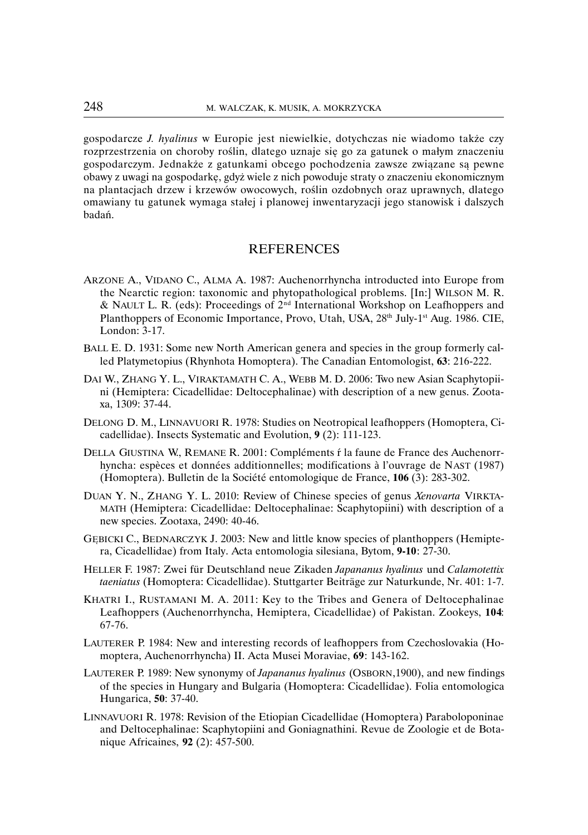gospodarcze *J. hyalinus* w Europie jest niewielkie, dotychczas nie wiadomo także czy rozprzestrzenia on choroby roślin, dlatego uznaje się go za gatunek o małym znaczeniu gospodarczym. Jednakże z gatunkami obcego pochodzenia zawsze związane są pewne obawy z uwagi na gospodarkę, gdyż wiele z nich powoduje straty o znaczeniu ekonomicznym na plantacjach drzew i krzewów owocowych, roślin ozdobnych oraz uprawnych, dlatego omawiany tu gatunek wymaga stałej i planowej inwentaryzacji jego stanowisk i dalszych badań.

## **REFERENCES**

- ARZONE A., VIDANO C., ALMA A. 1987: Auchenorrhyncha introducted into Europe from the Nearctic region: taxonomic and phytopathological problems. [In:] WILSON M. R. & NAULT L. R. (eds): Proceedings of  $2<sup>nd</sup>$  International Workshop on Leafhoppers and Planthoppers of Economic Importance, Provo, Utah, USA, 28<sup>th</sup> July-1<sup>st</sup> Aug. 1986. CIE, London: 3-17.
- BALL E. D. 1931: Some new North American genera and species in the group formerly called Platymetopius (Rhynhota Homoptera). The Canadian Entomologist, **63**: 216-222.
- DAI W., ZHANG Y. L., VIRAKTAMATH C. A., WEBB M. D. 2006: Two new Asian Scaphytopiini (Hemiptera: Cicadellidae: Deltocephalinae) with description of a new genus. Zootaxa, 1309: 37-44.
- DELONG D. M., LINNAVUORI R. 1978: Studies on Neotropical leafhoppers (Homoptera, Cicadellidae). Insects Systematic and Evolution, **9** (2): 111-123.
- DELLA GIUSTINA W., REMANE R. 2001: Compléments ŕ la faune de France des Auchenorrhyncha: espèces et données additionnelles; modifications à l'ouvrage de NAST (1987) (Homoptera). Bulletin de la Société entomologique de France, **106** (3): 283-302.
- DUAN Y. N., ZHANG Y. L. 2010: Review of Chinese species of genus *Xenovarta* VIRKTA-MATH (Hemiptera: Cicadellidae: Deltocephalinae: Scaphytopiini) with description of a new species. Zootaxa, 2490: 40-46.
- GĘBICKI C., BEDNARCZYK J. 2003: New and little know species of planthoppers (Hemiptera, Cicadellidae) from Italy. Acta entomologia silesiana, Bytom, **9-10**: 27-30.
- HELLER F. 1987: Zwei für Deutschland neue Zikaden *Japananus hyalinus* und *Calamotettix taeniatus* (Homoptera: Cicadellidae). Stuttgarter Beiträge zur Naturkunde, Nr. 401: 1-7.
- KHATRI I., RUSTAMANI M. A. 2011: Key to the Tribes and Genera of Deltocephalinae Leafhoppers (Auchenorrhyncha, Hemiptera, Cicadellidae) of Pakistan. Zookeys, **104**: 67-76.
- LAUTERER P. 1984: New and interesting records of leafhoppers from Czechoslovakia (Homoptera, Auchenorrhyncha) II. Acta Musei Moraviae, **69**: 143-162.
- LAUTERER P. 1989: New synonymy of *Japananus hyalinus* (OSBORN,1900), and new findings of the species in Hungary and Bulgaria (Homoptera: Cicadellidae). Folia entomologica Hungarica, **50**: 37-40.
- LINNAVUORI R. 1978: Revision of the Etiopian Cicadellidae (Homoptera) Paraboloponinae and Deltocephalinae: Scaphytopiini and Goniagnathini. Revue de Zoologie et de Botanique Africaines, **92** (2): 457-500.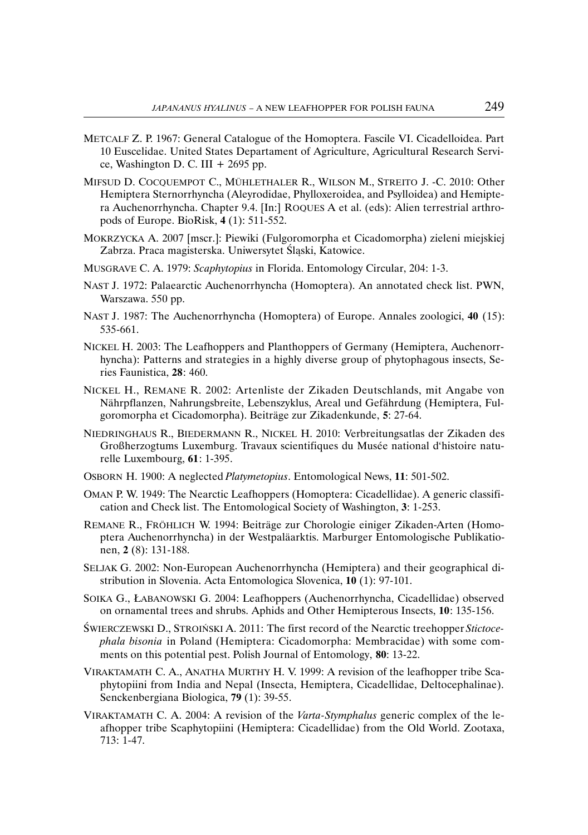- METCALF Z. P. 1967: General Catalogue of the Homoptera. Fascile VI. Cicadelloidea. Part 10 Euscelidae. United States Departament of Agriculture, Agricultural Research Service, Washington D. C. III  $+ 2695$  pp.
- MIFSUD D. COCQUEMPOT C., MÜHLETHALER R., WILSON M., STREITO J. -C. 2010: Other Hemiptera Sternorrhyncha (Aleyrodidae, Phylloxeroidea, and Psylloidea) and Hemiptera Auchenorrhyncha. Chapter 9.4. [In:] ROQUES A et al. (eds): Alien terrestrial arthropods of Europe. BioRisk, **4** (1): 511-552.
- MOKRZYCKA A. 2007 [mscr.]: Piewiki (Fulgoromorpha et Cicadomorpha) zieleni miejskiej Zabrza. Praca magisterska. Uniwersytet Śląski, Katowice.
- MUSGRAVE C. A. 1979: *Scaphytopius* in Florida. Entomology Circular, 204: 1-3.
- NAST J. 1972: Palaearctic Auchenorrhyncha (Homoptera). An annotated check list. PWN, Warszawa. 550 pp.
- NAST J. 1987: The Auchenorrhyncha (Homoptera) of Europe. Annales zoologici, **40** (15): 535-661.
- NICKEL H. 2003: The Leafhoppers and Planthoppers of Germany (Hemiptera, Auchenorrhyncha): Patterns and strategies in a highly diverse group of phytophagous insects, Series Faunistica, **28**: 460.
- NICKEL H., REMANE R. 2002: Artenliste der Zikaden Deutschlands, mit Angabe von Nährpflanzen, Nahrungsbreite, Lebenszyklus, Areal und Gefährdung (Hemiptera, Fulgoromorpha et Cicadomorpha). Beiträge zur Zikadenkunde, **5**: 27-64.
- NIEDRINGHAUS R., BIEDERMANN R., NICKEL H. 2010: Verbreitungsatlas der Zikaden des Großherzogtums Luxemburg. Travaux scientifiques du Musée national d'histoire naturelle Luxembourg, **61**: 1-395.
- OSBORN H. 1900: A neglected *Platymetopius*. Entomological News, **11**: 501-502.
- OMAN P. W. 1949: The Nearctic Leafhoppers (Homoptera: Cicadellidae). A generic classification and Check list. The Entomological Society of Washington, **3**: 1-253.
- REMANE R., FRÖHLICH W. 1994: Beiträge zur Chorologie einiger Zikaden-Arten (Homoptera Auchenorrhyncha) in der Westpaläarktis. Marburger Entomologische Publikationen, **2** (8): 131-188.
- SELJAK G. 2002: Non-European Auchenorrhyncha (Hemiptera) and their geographical distribution in Slovenia. Acta Entomologica Slovenica, **10** (1): 97-101.
- SOIKA G., ŁABANOWSKI G. 2004: Leafhoppers (Auchenorrhyncha, Cicadellidae) observed on ornamental trees and shrubs. Aphids and Other Hemipterous Insects, **10**: 135-156.
- ŚWIERCZEWSKI D., STROIŃSKI A. 2011: The first record of the Nearctic treehopper *Stictocephala bisonia* in Poland (Hemiptera: Cicadomorpha: Membracidae) with some comments on this potential pest. Polish Journal of Entomology, **80**: 13-22.
- VIRAKTAMATH C. A., ANATHA MURTHY H. V. 1999: A revision of the leafhopper tribe Scaphytopiini from India and Nepal (Insecta, Hemiptera, Cicadellidae, Deltocephalinae). Senckenbergiana Biologica, **79** (1): 39-55.
- VIRAKTAMATH C. A. 2004: A revision of the *Varta-Stymphalus* generic complex of the leafhopper tribe Scaphytopiini (Hemiptera: Cicadellidae) from the Old World. Zootaxa, 713: 1-47.